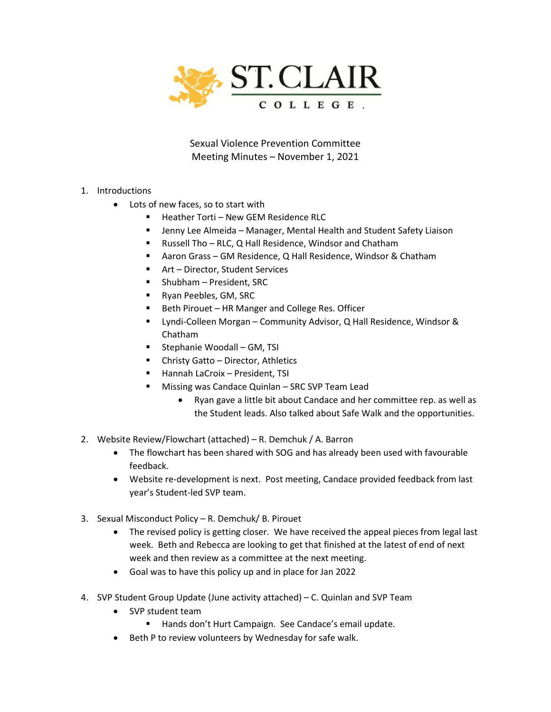

Sexual Violence Prevention Committee Meeting Minutes – November 1, 2021

## 1. Introductions

- Lots of new faces, so to start with
	- Heather Torti New GEM Residence RLC
	- Jenny Lee Almeida Manager, Mental Health and Student Safety Liaison
	- Russell Tho RLC, Q Hall Residence, Windsor and Chatham
	- Aaron Grass GM Residence, Q Hall Residence, Windsor & Chatham
	- Art Director, Student Services
	- Shubham President, SRC
	- Ryan Peebles, GM, SRC
	- Beth Pirouet HR Manger and College Res. Officer
	- **Example 20 Figure 1 November 10 Figure 10 Figure 10 Figure 10 Figure 10 Figure 10 Figure 10 Figure 10 Figure 10 Figure 10 Figure 10 Figure 10 Figure 10 Figure 10 Figure 10 Figure 10 Figure 10 Figure 10 Figure 10 Figure 10** Chatham
	- Stephanie Woodall GM, TSI
	- **E** Christy Gatto Director, Athletics
	- Hannah LaCroix President, TSI
	- **Missing was Candace Quinlan SRC SVP Team Lead** 
		- Ryan gave a little bit about Candace and her committee rep. as well as the Student leads. Also talked about Safe Walk and the opportunities.
- 2. Website Review/Flowchart (attached) R. Demchuk / A. Barron
	- The flowchart has been shared with SOG and has already been used with favourable feedback.
	- Website re-development is next. Post meeting, Candace provided feedback from last year's Student-led SVP team.
- 3. Sexual Misconduct Policy R. Demchuk/ B. Pirouet
	- The revised policy is getting closer. We have received the appeal pieces from legal last week. Beth and Rebecca are looking to get that finished at the latest of end of next week and then review as a committee at the next meeting.
	- Goal was to have this policy up and in place for Jan 2022
- 4. SVP Student Group Update (June activity attached) C. Quinlan and SVP Team
	- SVP student team
		- **Hands don't Hurt Campaign. See Candace's email update.**
	- Beth P to review volunteers by Wednesday for safe walk.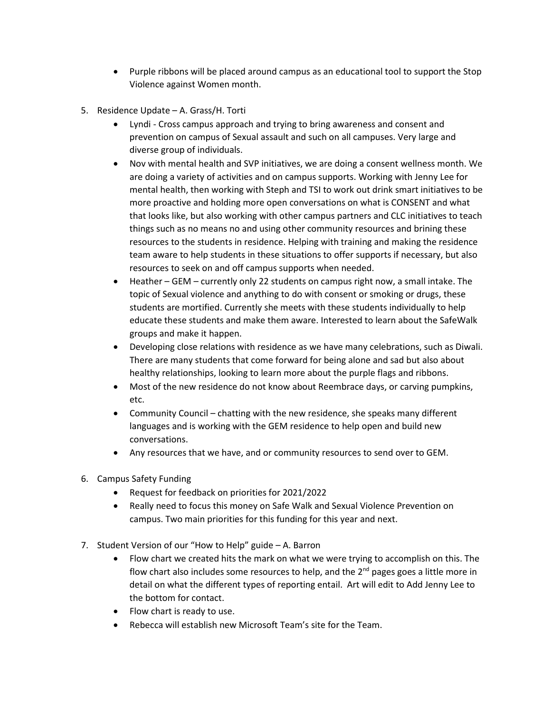- Purple ribbons will be placed around campus as an educational tool to support the Stop Violence against Women month.
- 5. Residence Update A. Grass/H. Torti
	- Lyndi Cross campus approach and trying to bring awareness and consent and prevention on campus of Sexual assault and such on all campuses. Very large and diverse group of individuals.
	- Nov with mental health and SVP initiatives, we are doing a consent wellness month. We are doing a variety of activities and on campus supports. Working with Jenny Lee for mental health, then working with Steph and TSI to work out drink smart initiatives to be more proactive and holding more open conversations on what is CONSENT and what that looks like, but also working with other campus partners and CLC initiatives to teach things such as no means no and using other community resources and brining these resources to the students in residence. Helping with training and making the residence team aware to help students in these situations to offer supports if necessary, but also resources to seek on and off campus supports when needed.
	- Heather GEM currently only 22 students on campus right now, a small intake. The topic of Sexual violence and anything to do with consent or smoking or drugs, these students are mortified. Currently she meets with these students individually to help educate these students and make them aware. Interested to learn about the SafeWalk groups and make it happen.
	- Developing close relations with residence as we have many celebrations, such as Diwali. There are many students that come forward for being alone and sad but also about healthy relationships, looking to learn more about the purple flags and ribbons.
	- Most of the new residence do not know about Reembrace days, or carving pumpkins, etc.
	- Community Council chatting with the new residence, she speaks many different languages and is working with the GEM residence to help open and build new conversations.
	- Any resources that we have, and or community resources to send over to GEM.
- 6. Campus Safety Funding
	- Request for feedback on priorities for 2021/2022
	- Really need to focus this money on Safe Walk and Sexual Violence Prevention on campus. Two main priorities for this funding for this year and next.
- 7. Student Version of our "How to Help" guide A. Barron
	- Flow chart we created hits the mark on what we were trying to accomplish on this. The flow chart also includes some resources to help, and the  $2^{nd}$  pages goes a little more in detail on what the different types of reporting entail. Art will edit to Add Jenny Lee to the bottom for contact.
	- Flow chart is ready to use.
	- Rebecca will establish new Microsoft Team's site for the Team.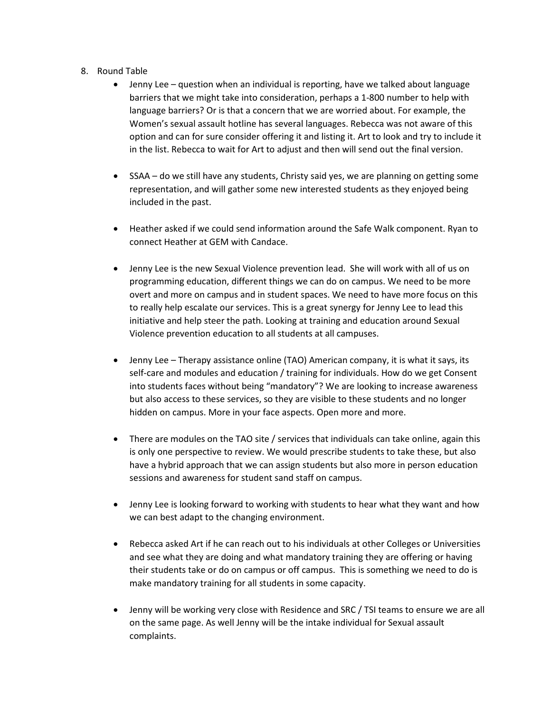- 8. Round Table
	- Jenny Lee question when an individual is reporting, have we talked about language barriers that we might take into consideration, perhaps a 1-800 number to help with language barriers? Or is that a concern that we are worried about. For example, the Women's sexual assault hotline has several languages. Rebecca was not aware of this option and can for sure consider offering it and listing it. Art to look and try to include it in the list. Rebecca to wait for Art to adjust and then will send out the final version.
	- SSAA do we still have any students, Christy said yes, we are planning on getting some representation, and will gather some new interested students as they enjoyed being included in the past.
	- Heather asked if we could send information around the Safe Walk component. Ryan to connect Heather at GEM with Candace.
	- Jenny Lee is the new Sexual Violence prevention lead. She will work with all of us on programming education, different things we can do on campus. We need to be more overt and more on campus and in student spaces. We need to have more focus on this to really help escalate our services. This is a great synergy for Jenny Lee to lead this initiative and help steer the path. Looking at training and education around Sexual Violence prevention education to all students at all campuses.
	- Jenny Lee Therapy assistance online (TAO) American company, it is what it says, its self-care and modules and education / training for individuals. How do we get Consent into students faces without being "mandatory"? We are looking to increase awareness but also access to these services, so they are visible to these students and no longer hidden on campus. More in your face aspects. Open more and more.
	- There are modules on the TAO site / services that individuals can take online, again this is only one perspective to review. We would prescribe students to take these, but also have a hybrid approach that we can assign students but also more in person education sessions and awareness for student sand staff on campus.
	- Jenny Lee is looking forward to working with students to hear what they want and how we can best adapt to the changing environment.
	- Rebecca asked Art if he can reach out to his individuals at other Colleges or Universities and see what they are doing and what mandatory training they are offering or having their students take or do on campus or off campus. This is something we need to do is make mandatory training for all students in some capacity.
	- Jenny will be working very close with Residence and SRC / TSI teams to ensure we are all on the same page. As well Jenny will be the intake individual for Sexual assault complaints.